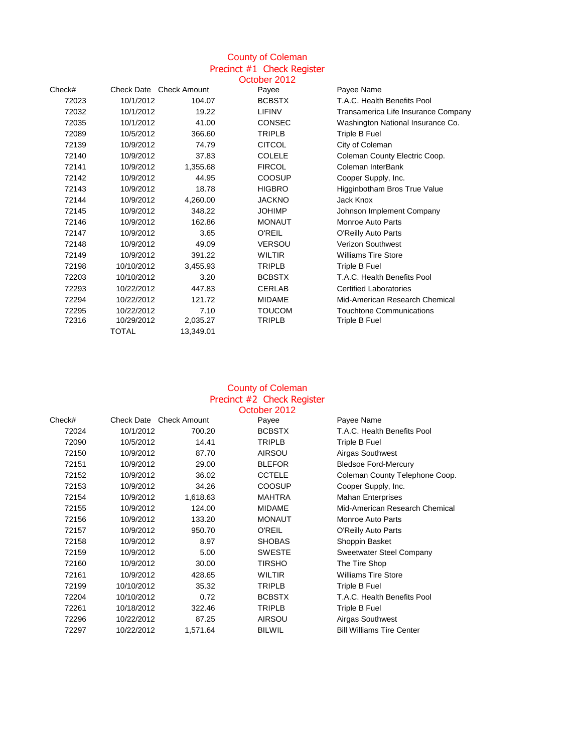# County of Coleman Precinct #1 Check Register

|        |            |                                | October 2012  |                                     |
|--------|------------|--------------------------------|---------------|-------------------------------------|
| Check# |            | <b>Check Date Check Amount</b> | Payee         | Payee Name                          |
| 72023  | 10/1/2012  | 104.07                         | <b>BCBSTX</b> | T.A.C. Health Benefits Pool         |
| 72032  | 10/1/2012  | 19.22                          | <b>LIFINV</b> | Transamerica Life Insurance Company |
| 72035  | 10/1/2012  | 41.00                          | <b>CONSEC</b> | Washington National Insurance Co.   |
| 72089  | 10/5/2012  | 366.60                         | <b>TRIPLB</b> | Triple B Fuel                       |
| 72139  | 10/9/2012  | 74.79                          | <b>CITCOL</b> | City of Coleman                     |
| 72140  | 10/9/2012  | 37.83                          | <b>COLELE</b> | Coleman County Electric Coop.       |
| 72141  | 10/9/2012  | 1,355.68                       | <b>FIRCOL</b> | Coleman InterBank                   |
| 72142  | 10/9/2012  | 44.95                          | COOSUP        | Cooper Supply, Inc.                 |
| 72143  | 10/9/2012  | 18.78                          | <b>HIGBRO</b> | Higginbotham Bros True Value        |
| 72144  | 10/9/2012  | 4,260.00                       | <b>JACKNO</b> | Jack Knox                           |
| 72145  | 10/9/2012  | 348.22                         | <b>JOHIMP</b> | Johnson Implement Company           |
| 72146  | 10/9/2012  | 162.86                         | <b>MONAUT</b> | Monroe Auto Parts                   |
| 72147  | 10/9/2012  | 3.65                           | <b>O'REIL</b> | O'Reilly Auto Parts                 |
| 72148  | 10/9/2012  | 49.09                          | <b>VERSOU</b> | <b>Verizon Southwest</b>            |
| 72149  | 10/9/2012  | 391.22                         | <b>WILTIR</b> | <b>Williams Tire Store</b>          |
| 72198  | 10/10/2012 | 3,455.93                       | <b>TRIPLB</b> | Triple B Fuel                       |
| 72203  | 10/10/2012 | 3.20                           | <b>BCBSTX</b> | T.A.C. Health Benefits Pool         |
| 72293  | 10/22/2012 | 447.83                         | <b>CERLAB</b> | <b>Certified Laboratories</b>       |
| 72294  | 10/22/2012 | 121.72                         | <b>MIDAME</b> | Mid-American Research Chemical      |
| 72295  | 10/22/2012 | 7.10                           | <b>TOUCOM</b> | <b>Touchtone Communications</b>     |
| 72316  | 10/29/2012 | 2,035.27                       | <b>TRIPLB</b> | Triple B Fuel                       |
|        | TOTAL      | 13,349.01                      |               |                                     |

### County of Coleman Precinct #2 Check Register October 2012

|        |            |                     | OUUUGI ZUTZ   |                                  |
|--------|------------|---------------------|---------------|----------------------------------|
| Check# | Check Date | <b>Check Amount</b> | Payee         | Payee Name                       |
| 72024  | 10/1/2012  | 700.20              | <b>BCBSTX</b> | T.A.C. Health Benefits Pool      |
| 72090  | 10/5/2012  | 14.41               | <b>TRIPLB</b> | Triple B Fuel                    |
| 72150  | 10/9/2012  | 87.70               | <b>AIRSOU</b> | Airgas Southwest                 |
| 72151  | 10/9/2012  | 29.00               | <b>BLEFOR</b> | <b>Bledsoe Ford-Mercury</b>      |
| 72152  | 10/9/2012  | 36.02               | <b>CCTELE</b> | Coleman County Telephone Coop.   |
| 72153  | 10/9/2012  | 34.26               | <b>COOSUP</b> | Cooper Supply, Inc.              |
| 72154  | 10/9/2012  | 1,618.63            | <b>MAHTRA</b> | <b>Mahan Enterprises</b>         |
| 72155  | 10/9/2012  | 124.00              | <b>MIDAME</b> | Mid-American Research Chemical   |
| 72156  | 10/9/2012  | 133.20              | <b>MONAUT</b> | <b>Monroe Auto Parts</b>         |
| 72157  | 10/9/2012  | 950.70              | <b>O'REIL</b> | <b>O'Reilly Auto Parts</b>       |
| 72158  | 10/9/2012  | 8.97                | <b>SHOBAS</b> | Shoppin Basket                   |
| 72159  | 10/9/2012  | 5.00                | <b>SWESTE</b> | Sweetwater Steel Company         |
| 72160  | 10/9/2012  | 30.00               | <b>TIRSHO</b> | The Tire Shop                    |
| 72161  | 10/9/2012  | 428.65              | WILTIR        | <b>Williams Tire Store</b>       |
| 72199  | 10/10/2012 | 35.32               | <b>TRIPLB</b> | Triple B Fuel                    |
| 72204  | 10/10/2012 | 0.72                | <b>BCBSTX</b> | T.A.C. Health Benefits Pool      |
| 72261  | 10/18/2012 | 322.46              | <b>TRIPLB</b> | Triple B Fuel                    |
| 72296  | 10/22/2012 | 87.25               | <b>AIRSOU</b> | Airgas Southwest                 |
| 72297  | 10/22/2012 | 1,571.64            | <b>BILWIL</b> | <b>Bill Williams Tire Center</b> |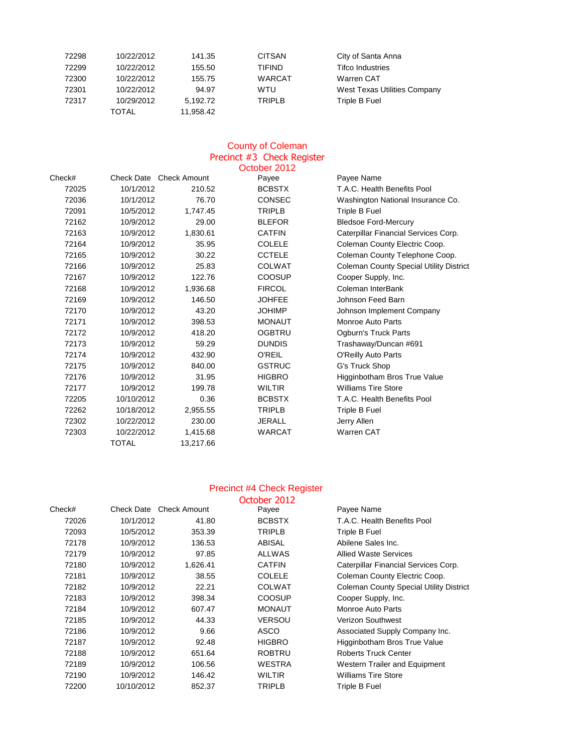| 72298 | 10/22/2012 | 141.35    | <b>CITSAN</b> | City of Santa Anna                  |
|-------|------------|-----------|---------------|-------------------------------------|
| 72299 | 10/22/2012 | 155.50    | <b>TIFIND</b> | <b>Tifco Industries</b>             |
| 72300 | 10/22/2012 | 155.75    | <b>WARCAT</b> | Warren CAT                          |
| 72301 | 10/22/2012 | 94.97     | WTU           | <b>West Texas Utilities Company</b> |
| 72317 | 10/29/2012 | 5,192.72  | <b>TRIPLB</b> | Triple B Fuel                       |
|       | TOTAL      | 11,958.42 |               |                                     |

## County of Coleman Precinct #3 Check Register

|        |                         |           | October 2012  |                                                |
|--------|-------------------------|-----------|---------------|------------------------------------------------|
| Check# | Check Date Check Amount |           | Payee         | Payee Name                                     |
| 72025  | 10/1/2012               | 210.52    | <b>BCBSTX</b> | T.A.C. Health Benefits Pool                    |
| 72036  | 10/1/2012               | 76.70     | <b>CONSEC</b> | Washington National Insurance Co.              |
| 72091  | 10/5/2012               | 1,747.45  | <b>TRIPLB</b> | Triple B Fuel                                  |
| 72162  | 10/9/2012               | 29.00     | <b>BLEFOR</b> | <b>Bledsoe Ford-Mercury</b>                    |
| 72163  | 10/9/2012               | 1,830.61  | <b>CATFIN</b> | Caterpillar Financial Services Corp.           |
| 72164  | 10/9/2012               | 35.95     | <b>COLELE</b> | Coleman County Electric Coop.                  |
| 72165  | 10/9/2012               | 30.22     | <b>CCTELE</b> | Coleman County Telephone Coop.                 |
| 72166  | 10/9/2012               | 25.83     | <b>COLWAT</b> | <b>Coleman County Special Utility District</b> |
| 72167  | 10/9/2012               | 122.76    | <b>COOSUP</b> | Cooper Supply, Inc.                            |
| 72168  | 10/9/2012               | 1,936.68  | <b>FIRCOL</b> | Coleman InterBank                              |
| 72169  | 10/9/2012               | 146.50    | <b>JOHFEE</b> | Johnson Feed Barn                              |
| 72170  | 10/9/2012               | 43.20     | <b>JOHIMP</b> | Johnson Implement Company                      |
| 72171  | 10/9/2012               | 398.53    | <b>MONAUT</b> | <b>Monroe Auto Parts</b>                       |
| 72172  | 10/9/2012               | 418.20    | <b>OGBTRU</b> | <b>Ogburn's Truck Parts</b>                    |
| 72173  | 10/9/2012               | 59.29     | <b>DUNDIS</b> | Trashaway/Duncan #691                          |
| 72174  | 10/9/2012               | 432.90    | <b>O'REIL</b> | <b>O'Reilly Auto Parts</b>                     |
| 72175  | 10/9/2012               | 840.00    | <b>GSTRUC</b> | G's Truck Shop                                 |
| 72176  | 10/9/2012               | 31.95     | <b>HIGBRO</b> | Higginbotham Bros True Value                   |
| 72177  | 10/9/2012               | 199.78    | <b>WILTIR</b> | <b>Williams Tire Store</b>                     |
| 72205  | 10/10/2012              | 0.36      | <b>BCBSTX</b> | T.A.C. Health Benefits Pool                    |
| 72262  | 10/18/2012              | 2,955.55  | <b>TRIPLB</b> | <b>Triple B Fuel</b>                           |
| 72302  | 10/22/2012              | 230.00    | <b>JERALL</b> | Jerry Allen                                    |
| 72303  | 10/22/2012              | 1,415.68  | <b>WARCAT</b> | Warren CAT                                     |
|        | <b>TOTAL</b>            | 13,217.66 |               |                                                |

#### Precinct #4 Check Register

|        |            |                         | October 2012  |                                                |
|--------|------------|-------------------------|---------------|------------------------------------------------|
| Check# |            | Check Date Check Amount | Payee         | Payee Name                                     |
| 72026  | 10/1/2012  | 41.80                   | <b>BCBSTX</b> | T.A.C. Health Benefits Pool                    |
| 72093  | 10/5/2012  | 353.39                  | <b>TRIPLB</b> | Triple B Fuel                                  |
| 72178  | 10/9/2012  | 136.53                  | <b>ABISAL</b> | Abilene Sales Inc.                             |
| 72179  | 10/9/2012  | 97.85                   | <b>ALLWAS</b> | <b>Allied Waste Services</b>                   |
| 72180  | 10/9/2012  | 1,626.41                | <b>CATFIN</b> | Caterpillar Financial Services Corp.           |
| 72181  | 10/9/2012  | 38.55                   | <b>COLELE</b> | Coleman County Electric Coop.                  |
| 72182  | 10/9/2012  | 22.21                   | <b>COLWAT</b> | <b>Coleman County Special Utility District</b> |
| 72183  | 10/9/2012  | 398.34                  | <b>COOSUP</b> | Cooper Supply, Inc.                            |
| 72184  | 10/9/2012  | 607.47                  | <b>MONAUT</b> | Monroe Auto Parts                              |
| 72185  | 10/9/2012  | 44.33                   | <b>VERSOU</b> | <b>Verizon Southwest</b>                       |
| 72186  | 10/9/2012  | 9.66                    | <b>ASCO</b>   | Associated Supply Company Inc.                 |
| 72187  | 10/9/2012  | 92.48                   | <b>HIGBRO</b> | Higginbotham Bros True Value                   |
| 72188  | 10/9/2012  | 651.64                  | <b>ROBTRU</b> | <b>Roberts Truck Center</b>                    |
| 72189  | 10/9/2012  | 106.56                  | WESTRA        | <b>Western Trailer and Equipment</b>           |
| 72190  | 10/9/2012  | 146.42                  | <b>WILTIR</b> | <b>Williams Tire Store</b>                     |
| 72200  | 10/10/2012 | 852.37                  | <b>TRIPLB</b> | Triple B Fuel                                  |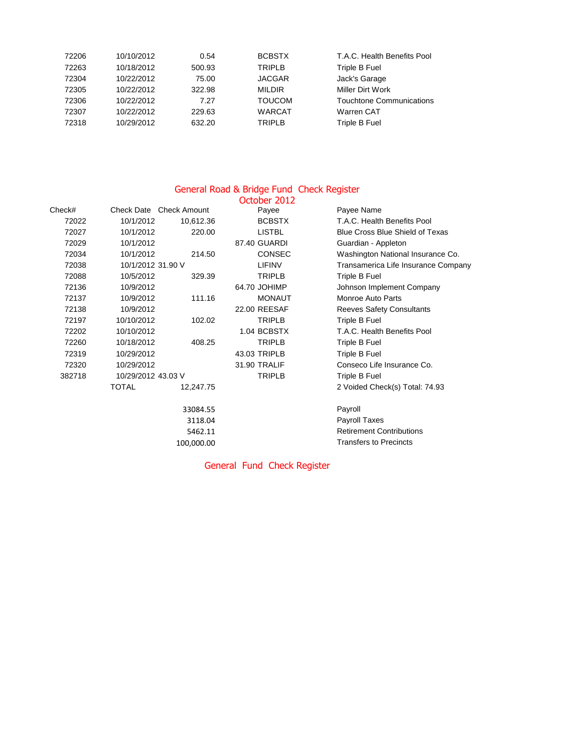| 72206 | 10/10/2012 | 0.54   | <b>BCBSTX</b> | T.A.C. Health Benefits Pool     |
|-------|------------|--------|---------------|---------------------------------|
| 72263 | 10/18/2012 | 500.93 | <b>TRIPLB</b> | Triple B Fuel                   |
| 72304 | 10/22/2012 | 75.00  | <b>JACGAR</b> | Jack's Garage                   |
| 72305 | 10/22/2012 | 322.98 | <b>MILDIR</b> | <b>Miller Dirt Work</b>         |
| 72306 | 10/22/2012 | 7.27   | <b>TOUCOM</b> | <b>Touchtone Communications</b> |
| 72307 | 10/22/2012 | 229.63 | <b>WARCAT</b> | <b>Warren CAT</b>               |
| 72318 | 10/29/2012 | 632.20 | <b>TRIPLB</b> | Triple B Fuel                   |

### General Road & Bridge Fund Check Register

|        |                                |            | October 2012  |                                        |
|--------|--------------------------------|------------|---------------|----------------------------------------|
| Check# | <b>Check Date Check Amount</b> |            | Payee         | Payee Name                             |
| 72022  | 10/1/2012                      | 10,612.36  | <b>BCBSTX</b> | T.A.C. Health Benefits Pool            |
| 72027  | 10/1/2012                      | 220.00     | <b>LISTBL</b> | <b>Blue Cross Blue Shield of Texas</b> |
| 72029  | 10/1/2012                      |            | 87.40 GUARDI  | Guardian - Appleton                    |
| 72034  | 10/1/2012                      | 214.50     | <b>CONSEC</b> | Washington National Insurance Co.      |
| 72038  | 10/1/2012 31.90 V              |            | <b>LIFINV</b> | Transamerica Life Insurance Company    |
| 72088  | 10/5/2012                      | 329.39     | <b>TRIPLB</b> | Triple B Fuel                          |
| 72136  | 10/9/2012                      |            | 64.70 JOHIMP  | Johnson Implement Company              |
| 72137  | 10/9/2012                      | 111.16     | <b>MONAUT</b> | <b>Monroe Auto Parts</b>               |
| 72138  | 10/9/2012                      |            | 22.00 REESAF  | <b>Reeves Safety Consultants</b>       |
| 72197  | 10/10/2012                     | 102.02     | <b>TRIPLB</b> | Triple B Fuel                          |
| 72202  | 10/10/2012                     |            | 1.04 BCBSTX   | T.A.C. Health Benefits Pool            |
| 72260  | 10/18/2012                     | 408.25     | <b>TRIPLB</b> | Triple B Fuel                          |
| 72319  | 10/29/2012                     |            | 43.03 TRIPLB  | Triple B Fuel                          |
| 72320  | 10/29/2012                     |            | 31.90 TRALIF  | Conseco Life Insurance Co.             |
| 382718 | 10/29/2012 43.03 V             |            | <b>TRIPLB</b> | Triple B Fuel                          |
|        | <b>TOTAL</b>                   | 12,247.75  |               | 2 Voided Check(s) Total: 74.93         |
|        |                                | 33084.55   |               | Payroll                                |
|        |                                | 3118.04    |               | Payroll Taxes                          |
|        |                                | 5462.11    |               | <b>Retirement Contributions</b>        |
|        |                                | 100,000.00 |               | <b>Transfers to Precincts</b>          |
|        |                                |            |               |                                        |

General Fund Check Register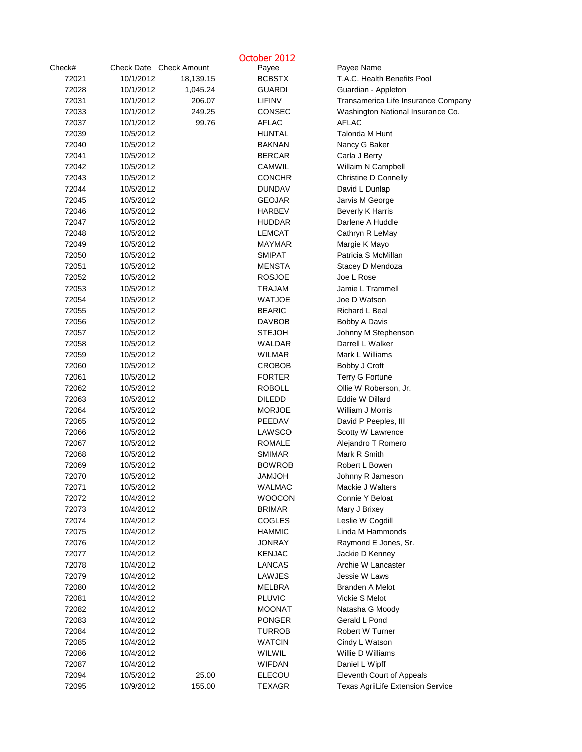|        |                         |           | October 2012  |                                          |
|--------|-------------------------|-----------|---------------|------------------------------------------|
| Check# | Check Date Check Amount |           | Payee         | Payee Name                               |
| 72021  | 10/1/2012               | 18,139.15 | <b>BCBSTX</b> | T.A.C. Health Benefits Pool              |
| 72028  | 10/1/2012               | 1,045.24  | <b>GUARDI</b> | Guardian - Appleton                      |
| 72031  | 10/1/2012               | 206.07    | <b>LIFINV</b> | Transamerica Life Insurance Company      |
| 72033  | 10/1/2012               | 249.25    | <b>CONSEC</b> | Washington National Insurance Co.        |
| 72037  | 10/1/2012               | 99.76     | <b>AFLAC</b>  | <b>AFLAC</b>                             |
| 72039  | 10/5/2012               |           | <b>HUNTAL</b> | Talonda M Hunt                           |
| 72040  | 10/5/2012               |           | <b>BAKNAN</b> | Nancy G Baker                            |
| 72041  | 10/5/2012               |           | <b>BERCAR</b> | Carla J Berry                            |
| 72042  | 10/5/2012               |           | <b>CAMWIL</b> | Willaim N Campbell                       |
| 72043  | 10/5/2012               |           | <b>CONCHR</b> | <b>Christine D Connelly</b>              |
| 72044  | 10/5/2012               |           | <b>DUNDAV</b> | David L Dunlap                           |
| 72045  | 10/5/2012               |           | <b>GEOJAR</b> | Jarvis M George                          |
| 72046  | 10/5/2012               |           | <b>HARBEV</b> | <b>Beverly K Harris</b>                  |
| 72047  | 10/5/2012               |           | <b>HUDDAR</b> | Darlene A Huddle                         |
| 72048  | 10/5/2012               |           | <b>LEMCAT</b> | Cathryn R LeMay                          |
| 72049  | 10/5/2012               |           | <b>MAYMAR</b> | Margie K Mayo                            |
| 72050  | 10/5/2012               |           | <b>SMIPAT</b> | Patricia S McMillan                      |
| 72051  | 10/5/2012               |           | <b>MENSTA</b> | Stacey D Mendoza                         |
| 72052  | 10/5/2012               |           | <b>ROSJOE</b> | Joe L Rose                               |
| 72053  | 10/5/2012               |           | <b>TRAJAM</b> | Jamie L Trammell                         |
| 72054  | 10/5/2012               |           | <b>WATJOE</b> | Joe D Watson                             |
| 72055  | 10/5/2012               |           | <b>BEARIC</b> | Richard L Beal                           |
| 72056  | 10/5/2012               |           | <b>DAVBOB</b> | Bobby A Davis                            |
| 72057  | 10/5/2012               |           | <b>STEJOH</b> | Johnny M Stephenson                      |
| 72058  | 10/5/2012               |           | <b>WALDAR</b> | Darrell L Walker                         |
| 72059  | 10/5/2012               |           | <b>WILMAR</b> | Mark L Williams                          |
| 72060  | 10/5/2012               |           | <b>CROBOB</b> | Bobby J Croft                            |
| 72061  | 10/5/2012               |           | <b>FORTER</b> | <b>Terry G Fortune</b>                   |
| 72062  | 10/5/2012               |           | <b>ROBOLL</b> | Ollie W Roberson, Jr.                    |
| 72063  | 10/5/2012               |           | <b>DILEDD</b> | Eddie W Dillard                          |
| 72064  | 10/5/2012               |           | <b>MORJOE</b> | William J Morris                         |
| 72065  | 10/5/2012               |           | PEEDAV        | David P Peeples, III                     |
| 72066  | 10/5/2012               |           | <b>LAWSCO</b> | Scotty W Lawrence                        |
| 72067  | 10/5/2012               |           | <b>ROMALE</b> | Alejandro T Romero                       |
| 72068  | 10/5/2012               |           | <b>SMIMAR</b> | Mark R Smith                             |
| 72069  | 10/5/2012               |           | <b>BOWROB</b> | Robert L Bowen                           |
| 72070  | 10/5/2012               |           | <b>HOLMAL</b> | Johnny R Jameson                         |
| 72071  | 10/5/2012               |           | <b>WALMAC</b> | Mackie J Walters                         |
| 72072  | 10/4/2012               |           | <b>WOOCON</b> | Connie Y Beloat                          |
| 72073  | 10/4/2012               |           | <b>BRIMAR</b> | Mary J Brixey                            |
| 72074  | 10/4/2012               |           | <b>COGLES</b> | Leslie W Cogdill                         |
| 72075  | 10/4/2012               |           | <b>HAMMIC</b> | Linda M Hammonds                         |
| 72076  | 10/4/2012               |           | <b>JONRAY</b> | Raymond E Jones, Sr.                     |
| 72077  | 10/4/2012               |           | <b>KENJAC</b> | Jackie D Kenney                          |
| 72078  | 10/4/2012               |           | <b>LANCAS</b> | Archie W Lancaster                       |
| 72079  | 10/4/2012               |           | <b>LAWJES</b> | Jessie W Laws                            |
| 72080  | 10/4/2012               |           | <b>MELBRA</b> | <b>Branden A Melot</b>                   |
| 72081  | 10/4/2012               |           | <b>PLUVIC</b> | Vickie S Melot                           |
| 72082  | 10/4/2012               |           | <b>MOONAT</b> | Natasha G Moody                          |
| 72083  | 10/4/2012               |           | <b>PONGER</b> | Gerald L Pond                            |
| 72084  | 10/4/2012               |           | <b>TURROB</b> | Robert W Turner                          |
| 72085  | 10/4/2012               |           | <b>WATCIN</b> | Cindy L Watson                           |
| 72086  | 10/4/2012               |           | WILWIL        | Willie D Williams                        |
| 72087  | 10/4/2012               |           | <b>WIFDAN</b> | Daniel L Wipff                           |
| 72094  | 10/5/2012               | 25.00     | <b>ELECOU</b> | Eleventh Court of Appeals                |
| 72095  | 10/9/2012               | 155.00    | <b>TEXAGR</b> | <b>Texas AgriiLife Extension Service</b> |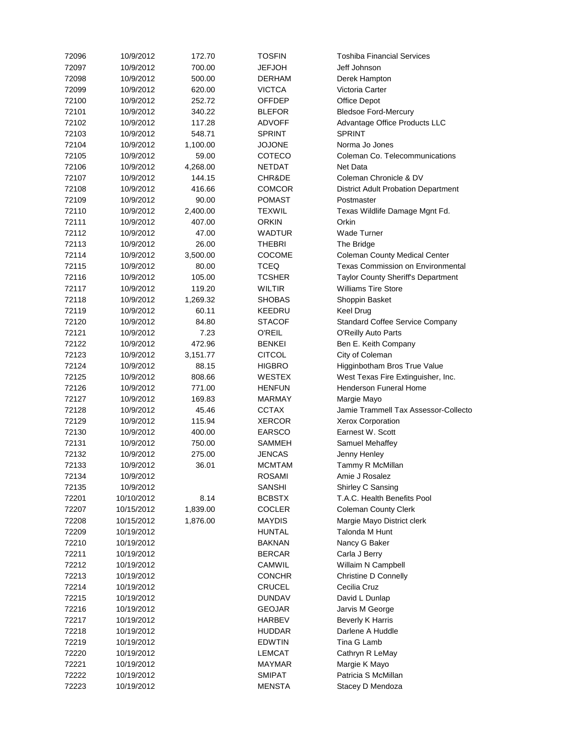| 72096 | 10/9/2012  | 172.70   | <b>TOSFIN</b> | <b>Toshiba Financial Services</b>          |
|-------|------------|----------|---------------|--------------------------------------------|
| 72097 | 10/9/2012  | 700.00   | <b>JEFJOH</b> | Jeff Johnson                               |
| 72098 | 10/9/2012  | 500.00   | <b>DERHAM</b> | Derek Hampton                              |
| 72099 | 10/9/2012  | 620.00   | <b>VICTCA</b> | Victoria Carter                            |
| 72100 | 10/9/2012  | 252.72   | <b>OFFDEP</b> | <b>Office Depot</b>                        |
| 72101 | 10/9/2012  | 340.22   | <b>BLEFOR</b> | <b>Bledsoe Ford-Mercury</b>                |
| 72102 | 10/9/2012  | 117.28   | <b>ADVOFF</b> | Advantage Office Products LLC              |
| 72103 | 10/9/2012  | 548.71   | <b>SPRINT</b> | <b>SPRINT</b>                              |
| 72104 | 10/9/2012  | 1,100.00 | <b>JOJONE</b> | Norma Jo Jones                             |
| 72105 | 10/9/2012  | 59.00    | <b>COTECO</b> | Coleman Co. Telecommunications             |
| 72106 | 10/9/2012  | 4,268.00 | <b>NETDAT</b> | Net Data                                   |
| 72107 | 10/9/2012  | 144.15   | CHR&DE        | Coleman Chronicle & DV                     |
| 72108 | 10/9/2012  | 416.66   | <b>COMCOR</b> | <b>District Adult Probation Department</b> |
| 72109 | 10/9/2012  | 90.00    | <b>POMAST</b> | Postmaster                                 |
| 72110 | 10/9/2012  | 2,400.00 | <b>TEXWIL</b> | Texas Wildlife Damage Mgnt Fd.             |
| 72111 | 10/9/2012  | 407.00   | <b>ORKIN</b>  | Orkin                                      |
| 72112 | 10/9/2012  | 47.00    | <b>WADTUR</b> | <b>Wade Turner</b>                         |
| 72113 | 10/9/2012  | 26.00    | <b>THEBRI</b> | The Bridge                                 |
| 72114 | 10/9/2012  | 3,500.00 | COCOME        | <b>Coleman County Medical Center</b>       |
| 72115 | 10/9/2012  | 80.00    | <b>TCEQ</b>   | <b>Texas Commission on Environmental</b>   |
| 72116 | 10/9/2012  | 105.00   | <b>TCSHER</b> | Taylor County Sheriff's Department         |
| 72117 | 10/9/2012  | 119.20   | <b>WILTIR</b> | <b>Williams Tire Store</b>                 |
| 72118 | 10/9/2012  | 1,269.32 | <b>SHOBAS</b> | Shoppin Basket                             |
| 72119 | 10/9/2012  | 60.11    | <b>KEEDRU</b> | <b>Keel Drug</b>                           |
| 72120 | 10/9/2012  | 84.80    | <b>STACOF</b> | <b>Standard Coffee Service Company</b>     |
| 72121 | 10/9/2012  | 7.23     | <b>O'REIL</b> |                                            |
| 72122 | 10/9/2012  | 472.96   | <b>BENKEI</b> | O'Reilly Auto Parts                        |
|       |            |          |               | Ben E. Keith Company                       |
| 72123 | 10/9/2012  | 3,151.77 | <b>CITCOL</b> | City of Coleman                            |
| 72124 | 10/9/2012  | 88.15    | <b>HIGBRO</b> | Higginbotham Bros True Value               |
| 72125 | 10/9/2012  | 808.66   | <b>WESTEX</b> | West Texas Fire Extinguisher, Inc.         |
| 72126 | 10/9/2012  | 771.00   | <b>HENFUN</b> | <b>Henderson Funeral Home</b>              |
| 72127 | 10/9/2012  | 169.83   | <b>MARMAY</b> | Margie Mayo                                |
| 72128 | 10/9/2012  | 45.46    | <b>CCTAX</b>  | Jamie Trammell Tax Assessor-Collecto       |
| 72129 | 10/9/2012  | 115.94   | <b>XERCOR</b> | <b>Xerox Corporation</b>                   |
| 72130 | 10/9/2012  | 400.00   | <b>EARSCO</b> | Earnest W. Scott                           |
| 72131 | 10/9/2012  | 750.00   | <b>SAMMEH</b> | Samuel Mehaffey                            |
| 72132 | 10/9/2012  | 275.00   | <b>JENCAS</b> | Jenny Henley                               |
| 72133 | 10/9/2012  | 36.01    | <b>MCMTAM</b> | Tammy R McMillan                           |
| 72134 | 10/9/2012  |          | <b>ROSAMI</b> | Amie J Rosalez                             |
| 72135 | 10/9/2012  |          | <b>SANSHI</b> | Shirley C Sansing                          |
| 72201 | 10/10/2012 | 8.14     | <b>BCBSTX</b> | T.A.C. Health Benefits Pool                |
| 72207 | 10/15/2012 | 1,839.00 | <b>COCLER</b> | <b>Coleman County Clerk</b>                |
| 72208 | 10/15/2012 | 1,876.00 | <b>MAYDIS</b> | Margie Mayo District clerk                 |
| 72209 | 10/19/2012 |          | <b>HUNTAL</b> | Talonda M Hunt                             |
| 72210 | 10/19/2012 |          | <b>BAKNAN</b> | Nancy G Baker                              |
| 72211 | 10/19/2012 |          | <b>BERCAR</b> | Carla J Berry                              |
| 72212 | 10/19/2012 |          | <b>CAMWIL</b> | Willaim N Campbell                         |
| 72213 | 10/19/2012 |          | <b>CONCHR</b> | <b>Christine D Connelly</b>                |
| 72214 | 10/19/2012 |          | <b>CRUCEL</b> | Cecilia Cruz                               |
| 72215 | 10/19/2012 |          | <b>DUNDAV</b> | David L Dunlap                             |
| 72216 | 10/19/2012 |          | <b>GEOJAR</b> | Jarvis M George                            |
| 72217 | 10/19/2012 |          | <b>HARBEV</b> | <b>Beverly K Harris</b>                    |
| 72218 | 10/19/2012 |          | <b>HUDDAR</b> | Darlene A Huddle                           |
| 72219 | 10/19/2012 |          | <b>EDWTIN</b> | Tina G Lamb                                |
| 72220 | 10/19/2012 |          | <b>LEMCAT</b> | Cathryn R LeMay                            |
| 72221 | 10/19/2012 |          | <b>MAYMAR</b> | Margie K Mayo                              |
| 72222 | 10/19/2012 |          | <b>SMIPAT</b> | Patricia S McMillan                        |
| 72223 | 10/19/2012 |          | <b>MENSTA</b> | Stacey D Mendoza                           |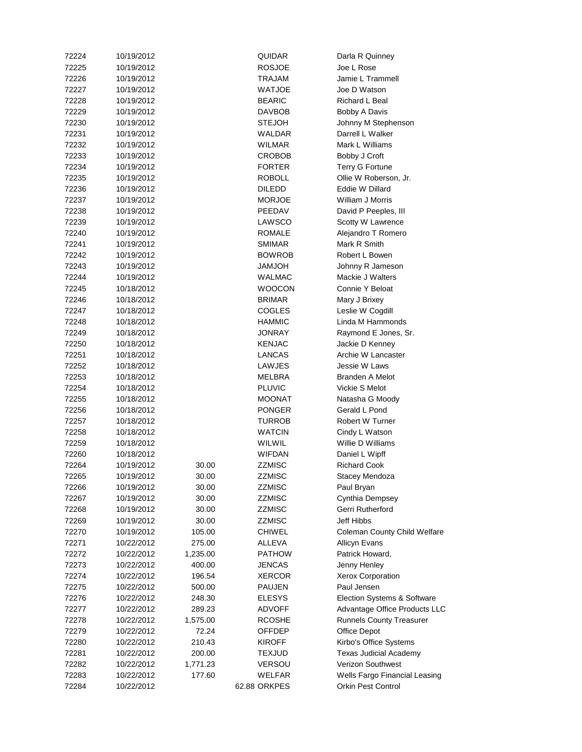| 72224 | 10/19/2012               |          | <b>QUIDAR</b> | Darla R Quinney                      |
|-------|--------------------------|----------|---------------|--------------------------------------|
| 72225 | 10/19/2012               |          | <b>ROSJOE</b> | Joe L Rose                           |
| 72226 | 10/19/2012               |          | TRAJAM        | Jamie L Trammell                     |
| 72227 | 10/19/2012               |          | <b>WATJOE</b> | Joe D Watson                         |
| 72228 | 10/19/2012               |          | <b>BEARIC</b> | Richard L Beal                       |
| 72229 | 10/19/2012               |          | <b>DAVBOB</b> | Bobby A Davis                        |
| 72230 | 10/19/2012               |          | <b>STEJOH</b> | Johnny M Stephenson                  |
| 72231 | 10/19/2012               |          | <b>WALDAR</b> | Darrell L Walker                     |
| 72232 | 10/19/2012               |          | <b>WILMAR</b> | Mark L Williams                      |
| 72233 | 10/19/2012               |          | <b>CROBOB</b> | Bobby J Croft                        |
| 72234 | 10/19/2012               |          | <b>FORTER</b> | Terry G Fortune                      |
| 72235 | 10/19/2012               |          | <b>ROBOLL</b> | Ollie W Roberson, Jr.                |
| 72236 | 10/19/2012               |          | <b>DILEDD</b> | Eddie W Dillard                      |
| 72237 | 10/19/2012               |          | <b>MORJOE</b> | William J Morris                     |
| 72238 | 10/19/2012               |          | PEEDAV        | David P Peeples, III                 |
| 72239 | 10/19/2012               |          | <b>LAWSCO</b> | Scotty W Lawrence                    |
| 72240 | 10/19/2012               |          | <b>ROMALE</b> | Alejandro T Romero                   |
| 72241 | 10/19/2012               |          | <b>SMIMAR</b> | Mark R Smith                         |
| 72242 | 10/19/2012               |          | <b>BOWROB</b> | Robert L Bowen                       |
| 72243 | 10/19/2012               |          | <b>HOLMAL</b> | Johnny R Jameson                     |
| 72244 | 10/19/2012               |          | <b>WALMAC</b> | Mackie J Walters                     |
| 72245 | 10/18/2012               |          | <b>WOOCON</b> | Connie Y Beloat                      |
| 72246 | 10/18/2012               |          | <b>BRIMAR</b> | Mary J Brixey                        |
| 72247 | 10/18/2012               |          | <b>COGLES</b> | Leslie W Cogdill                     |
| 72248 | 10/18/2012               |          | <b>HAMMIC</b> | Linda M Hammonds                     |
| 72249 | 10/18/2012               |          | <b>JONRAY</b> |                                      |
|       |                          |          |               | Raymond E Jones, Sr.                 |
| 72250 | 10/18/2012<br>10/18/2012 |          | <b>KENJAC</b> | Jackie D Kenney                      |
| 72251 |                          |          | <b>LANCAS</b> | Archie W Lancaster                   |
| 72252 | 10/18/2012               |          | <b>LAWJES</b> | Jessie W Laws                        |
| 72253 | 10/18/2012               |          | <b>MELBRA</b> | <b>Branden A Melot</b>               |
| 72254 | 10/18/2012               |          | <b>PLUVIC</b> | Vickie S Melot                       |
| 72255 | 10/18/2012               |          | <b>MOONAT</b> | Natasha G Moody                      |
| 72256 | 10/18/2012               |          | <b>PONGER</b> | Gerald L Pond                        |
| 72257 | 10/18/2012               |          | <b>TURROB</b> | Robert W Turner                      |
| 72258 | 10/18/2012               |          | <b>WATCIN</b> | Cindy L Watson                       |
| 72259 | 10/18/2012               |          | <b>WILWIL</b> | Willie D Williams                    |
| 72260 | 10/18/2012               |          | <b>WIFDAN</b> | Daniel L Wipff                       |
| 72264 | 10/19/2012               | 30.00    | <b>ZZMISC</b> | <b>Richard Cook</b>                  |
| 72265 | 10/19/2012               | 30.00    | <b>ZZMISC</b> | Stacey Mendoza                       |
| 72266 | 10/19/2012               | 30.00    | <b>ZZMISC</b> | Paul Bryan                           |
| 72267 | 10/19/2012               | 30.00    | <b>ZZMISC</b> | Cynthia Dempsey                      |
| 72268 | 10/19/2012               | 30.00    | <b>ZZMISC</b> | Gerri Rutherford                     |
| 72269 | 10/19/2012               | 30.00    | <b>ZZMISC</b> | Jeff Hibbs                           |
| 72270 | 10/19/2012               | 105.00   | <b>CHIWEL</b> | <b>Coleman County Child Welfare</b>  |
| 72271 | 10/22/2012               | 275.00   | <b>ALLEVA</b> | <b>Allicyn Evans</b>                 |
| 72272 | 10/22/2012               | 1,235.00 | <b>PATHOW</b> | Patrick Howard,                      |
| 72273 | 10/22/2012               | 400.00   | <b>JENCAS</b> | Jenny Henley                         |
| 72274 | 10/22/2012               | 196.54   | <b>XERCOR</b> | <b>Xerox Corporation</b>             |
| 72275 | 10/22/2012               | 500.00   | <b>PAUJEN</b> | Paul Jensen                          |
| 72276 | 10/22/2012               | 248.30   | <b>ELESYS</b> | Election Systems & Software          |
| 72277 | 10/22/2012               | 289.23   | <b>ADVOFF</b> | Advantage Office Products LLC        |
| 72278 | 10/22/2012               | 1,575.00 | <b>RCOSHE</b> | <b>Runnels County Treasurer</b>      |
| 72279 | 10/22/2012               | 72.24    | <b>OFFDEP</b> | <b>Office Depot</b>                  |
| 72280 | 10/22/2012               | 210.43   | <b>KIROFF</b> | Kirbo's Office Systems               |
| 72281 | 10/22/2012               | 200.00   | <b>TEXJUD</b> | <b>Texas Judicial Academy</b>        |
| 72282 | 10/22/2012               | 1,771.23 | <b>VERSOU</b> | <b>Verizon Southwest</b>             |
| 72283 | 10/22/2012               | 177.60   | <b>WELFAR</b> | <b>Wells Fargo Financial Leasing</b> |
| 72284 | 10/22/2012               |          | 62.88 ORKPES  | <b>Orkin Pest Control</b>            |